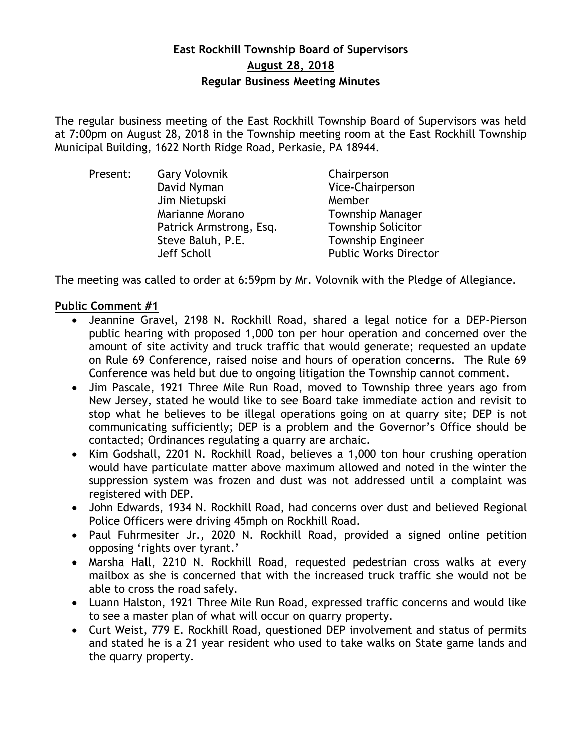## **East Rockhill Township Board of Supervisors August 28, 2018 Regular Business Meeting Minutes**

The regular business meeting of the East Rockhill Township Board of Supervisors was held at 7:00pm on August 28, 2018 in the Township meeting room at the East Rockhill Township Municipal Building, 1622 North Ridge Road, Perkasie, PA 18944.

| Present: | <b>Gary Volovnik</b>    | Chairperson                  |
|----------|-------------------------|------------------------------|
|          | David Nyman             | Vice-Chairperson             |
|          | Jim Nietupski           | Member                       |
|          | Marianne Morano         | <b>Township Manager</b>      |
|          | Patrick Armstrong, Esq. | <b>Township Solicitor</b>    |
|          | Steve Baluh, P.E.       | <b>Township Engineer</b>     |
|          | Jeff Scholl             | <b>Public Works Director</b> |

The meeting was called to order at 6:59pm by Mr. Volovnik with the Pledge of Allegiance.

## **Public Comment #1**

- Jeannine Gravel, 2198 N. Rockhill Road, shared a legal notice for a DEP-Pierson public hearing with proposed 1,000 ton per hour operation and concerned over the amount of site activity and truck traffic that would generate; requested an update on Rule 69 Conference, raised noise and hours of operation concerns. The Rule 69 Conference was held but due to ongoing litigation the Township cannot comment.
- Jim Pascale, 1921 Three Mile Run Road, moved to Township three years ago from New Jersey, stated he would like to see Board take immediate action and revisit to stop what he believes to be illegal operations going on at quarry site; DEP is not communicating sufficiently; DEP is a problem and the Governor's Office should be contacted; Ordinances regulating a quarry are archaic.
- Kim Godshall, 2201 N. Rockhill Road, believes a 1,000 ton hour crushing operation would have particulate matter above maximum allowed and noted in the winter the suppression system was frozen and dust was not addressed until a complaint was registered with DEP.
- John Edwards, 1934 N. Rockhill Road, had concerns over dust and believed Regional Police Officers were driving 45mph on Rockhill Road.
- Paul Fuhrmesiter Jr., 2020 N. Rockhill Road, provided a signed online petition opposing 'rights over tyrant.'
- Marsha Hall, 2210 N. Rockhill Road, requested pedestrian cross walks at every mailbox as she is concerned that with the increased truck traffic she would not be able to cross the road safely.
- Luann Halston, 1921 Three Mile Run Road, expressed traffic concerns and would like to see a master plan of what will occur on quarry property.
- Curt Weist, 779 E. Rockhill Road, questioned DEP involvement and status of permits and stated he is a 21 year resident who used to take walks on State game lands and the quarry property.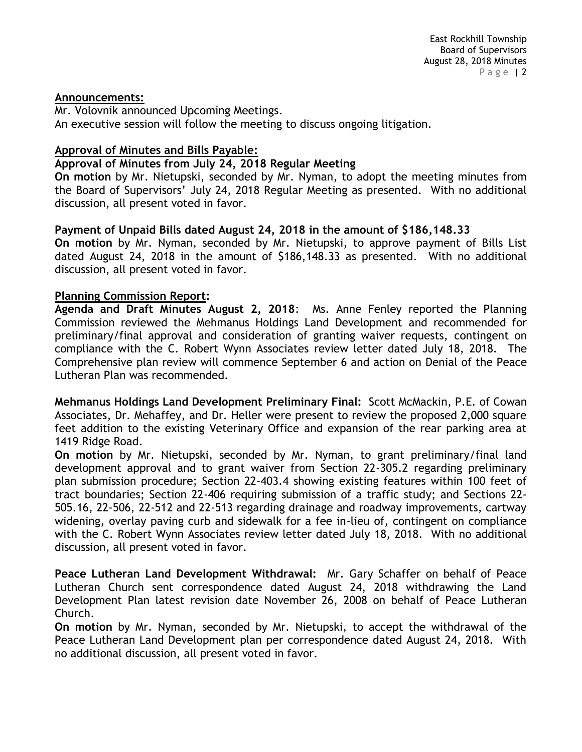### **Announcements:**

Mr. Volovnik announced Upcoming Meetings. An executive session will follow the meeting to discuss ongoing litigation.

### **Approval of Minutes and Bills Payable:**

### **Approval of Minutes from July 24, 2018 Regular Meeting**

**On motion** by Mr. Nietupski, seconded by Mr. Nyman, to adopt the meeting minutes from the Board of Supervisors' July 24, 2018 Regular Meeting as presented. With no additional discussion, all present voted in favor.

## **Payment of Unpaid Bills dated August 24, 2018 in the amount of \$186,148.33**

**On motion** by Mr. Nyman, seconded by Mr. Nietupski, to approve payment of Bills List dated August 24, 2018 in the amount of \$186,148.33 as presented. With no additional discussion, all present voted in favor.

### **Planning Commission Report:**

**Agenda and Draft Minutes August 2, 2018**: Ms. Anne Fenley reported the Planning Commission reviewed the Mehmanus Holdings Land Development and recommended for preliminary/final approval and consideration of granting waiver requests, contingent on compliance with the C. Robert Wynn Associates review letter dated July 18, 2018. The Comprehensive plan review will commence September 6 and action on Denial of the Peace Lutheran Plan was recommended.

**Mehmanus Holdings Land Development Preliminary Final:** Scott McMackin, P.E. of Cowan Associates, Dr. Mehaffey, and Dr. Heller were present to review the proposed 2,000 square feet addition to the existing Veterinary Office and expansion of the rear parking area at 1419 Ridge Road.

**On motion** by Mr. Nietupski, seconded by Mr. Nyman, to grant preliminary/final land development approval and to grant waiver from Section 22-305.2 regarding preliminary plan submission procedure; Section 22-403.4 showing existing features within 100 feet of tract boundaries; Section 22-406 requiring submission of a traffic study; and Sections 22- 505.16, 22-506, 22-512 and 22-513 regarding drainage and roadway improvements, cartway widening, overlay paving curb and sidewalk for a fee in-lieu of, contingent on compliance with the C. Robert Wynn Associates review letter dated July 18, 2018. With no additional discussion, all present voted in favor.

**Peace Lutheran Land Development Withdrawal:** Mr. Gary Schaffer on behalf of Peace Lutheran Church sent correspondence dated August 24, 2018 withdrawing the Land Development Plan latest revision date November 26, 2008 on behalf of Peace Lutheran Church.

**On motion** by Mr. Nyman, seconded by Mr. Nietupski, to accept the withdrawal of the Peace Lutheran Land Development plan per correspondence dated August 24, 2018. With no additional discussion, all present voted in favor.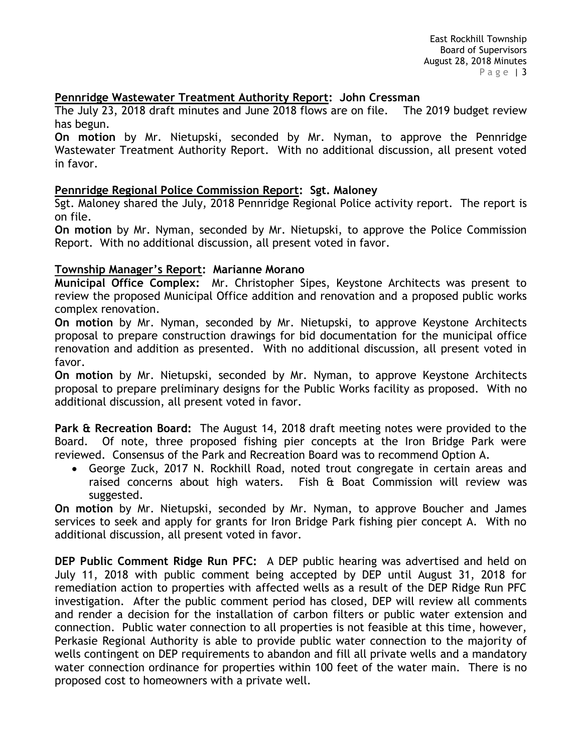## **Pennridge Wastewater Treatment Authority Report: John Cressman**

The July 23, 2018 draft minutes and June 2018 flows are on file. The 2019 budget review has begun.

**On motion** by Mr. Nietupski, seconded by Mr. Nyman, to approve the Pennridge Wastewater Treatment Authority Report. With no additional discussion, all present voted in favor.

## **Pennridge Regional Police Commission Report: Sgt. Maloney**

Sgt. Maloney shared the July, 2018 Pennridge Regional Police activity report. The report is on file.

**On motion** by Mr. Nyman, seconded by Mr. Nietupski, to approve the Police Commission Report. With no additional discussion, all present voted in favor.

### **Township Manager's Report: Marianne Morano**

**Municipal Office Complex:** Mr. Christopher Sipes, Keystone Architects was present to review the proposed Municipal Office addition and renovation and a proposed public works complex renovation.

**On motion** by Mr. Nyman, seconded by Mr. Nietupski, to approve Keystone Architects proposal to prepare construction drawings for bid documentation for the municipal office renovation and addition as presented. With no additional discussion, all present voted in favor.

**On motion** by Mr. Nietupski, seconded by Mr. Nyman, to approve Keystone Architects proposal to prepare preliminary designs for the Public Works facility as proposed. With no additional discussion, all present voted in favor.

**Park & Recreation Board:** The August 14, 2018 draft meeting notes were provided to the Board. Of note, three proposed fishing pier concepts at the Iron Bridge Park were reviewed. Consensus of the Park and Recreation Board was to recommend Option A.

 George Zuck, 2017 N. Rockhill Road, noted trout congregate in certain areas and raised concerns about high waters. Fish & Boat Commission will review was suggested.

**On motion** by Mr. Nietupski, seconded by Mr. Nyman, to approve Boucher and James services to seek and apply for grants for Iron Bridge Park fishing pier concept A. With no additional discussion, all present voted in favor.

**DEP Public Comment Ridge Run PFC:** A DEP public hearing was advertised and held on July 11, 2018 with public comment being accepted by DEP until August 31, 2018 for remediation action to properties with affected wells as a result of the DEP Ridge Run PFC investigation. After the public comment period has closed, DEP will review all comments and render a decision for the installation of carbon filters or public water extension and connection. Public water connection to all properties is not feasible at this time, however, Perkasie Regional Authority is able to provide public water connection to the majority of wells contingent on DEP requirements to abandon and fill all private wells and a mandatory water connection ordinance for properties within 100 feet of the water main. There is no proposed cost to homeowners with a private well.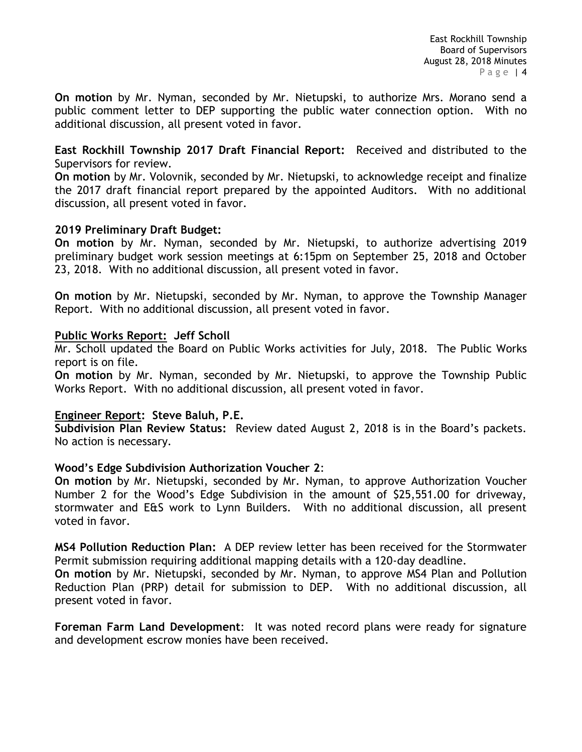**On motion** by Mr. Nyman, seconded by Mr. Nietupski, to authorize Mrs. Morano send a public comment letter to DEP supporting the public water connection option. With no additional discussion, all present voted in favor.

**East Rockhill Township 2017 Draft Financial Report:** Received and distributed to the Supervisors for review.

**On motion** by Mr. Volovnik, seconded by Mr. Nietupski, to acknowledge receipt and finalize the 2017 draft financial report prepared by the appointed Auditors. With no additional discussion, all present voted in favor.

## **2019 Preliminary Draft Budget:**

**On motion** by Mr. Nyman, seconded by Mr. Nietupski, to authorize advertising 2019 preliminary budget work session meetings at 6:15pm on September 25, 2018 and October 23, 2018. With no additional discussion, all present voted in favor.

**On motion** by Mr. Nietupski, seconded by Mr. Nyman, to approve the Township Manager Report. With no additional discussion, all present voted in favor.

## **Public Works Report: Jeff Scholl**

Mr. Scholl updated the Board on Public Works activities for July, 2018. The Public Works report is on file.

**On motion** by Mr. Nyman, seconded by Mr. Nietupski, to approve the Township Public Works Report. With no additional discussion, all present voted in favor.

## **Engineer Report: Steve Baluh, P.E.**

**Subdivision Plan Review Status:** Review dated August 2, 2018 is in the Board's packets. No action is necessary.

## **Wood's Edge Subdivision Authorization Voucher 2**:

**On motion** by Mr. Nietupski, seconded by Mr. Nyman, to approve Authorization Voucher Number 2 for the Wood's Edge Subdivision in the amount of \$25,551.00 for driveway, stormwater and E&S work to Lynn Builders. With no additional discussion, all present voted in favor.

**MS4 Pollution Reduction Plan:** A DEP review letter has been received for the Stormwater Permit submission requiring additional mapping details with a 120-day deadline.

**On motion** by Mr. Nietupski, seconded by Mr. Nyman, to approve MS4 Plan and Pollution Reduction Plan (PRP) detail for submission to DEP. With no additional discussion, all present voted in favor.

**Foreman Farm Land Development**: It was noted record plans were ready for signature and development escrow monies have been received.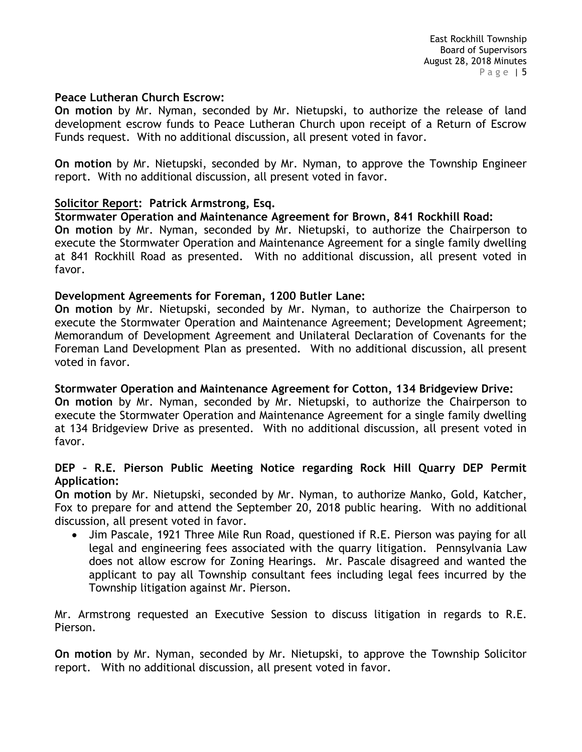#### **Peace Lutheran Church Escrow:**

**On motion** by Mr. Nyman, seconded by Mr. Nietupski, to authorize the release of land development escrow funds to Peace Lutheran Church upon receipt of a Return of Escrow Funds request. With no additional discussion, all present voted in favor.

**On motion** by Mr. Nietupski, seconded by Mr. Nyman, to approve the Township Engineer report. With no additional discussion, all present voted in favor.

### **Solicitor Report: Patrick Armstrong, Esq.**

### **Stormwater Operation and Maintenance Agreement for Brown, 841 Rockhill Road:**

**On motion** by Mr. Nyman, seconded by Mr. Nietupski, to authorize the Chairperson to execute the Stormwater Operation and Maintenance Agreement for a single family dwelling at 841 Rockhill Road as presented. With no additional discussion, all present voted in favor.

#### **Development Agreements for Foreman, 1200 Butler Lane:**

**On motion** by Mr. Nietupski, seconded by Mr. Nyman, to authorize the Chairperson to execute the Stormwater Operation and Maintenance Agreement; Development Agreement; Memorandum of Development Agreement and Unilateral Declaration of Covenants for the Foreman Land Development Plan as presented. With no additional discussion, all present voted in favor.

## **Stormwater Operation and Maintenance Agreement for Cotton, 134 Bridgeview Drive:**

**On motion** by Mr. Nyman, seconded by Mr. Nietupski, to authorize the Chairperson to execute the Stormwater Operation and Maintenance Agreement for a single family dwelling at 134 Bridgeview Drive as presented. With no additional discussion, all present voted in favor.

### **DEP – R.E. Pierson Public Meeting Notice regarding Rock Hill Quarry DEP Permit Application:**

**On motion** by Mr. Nietupski, seconded by Mr. Nyman, to authorize Manko, Gold, Katcher, Fox to prepare for and attend the September 20, 2018 public hearing. With no additional discussion, all present voted in favor.

• Jim Pascale, 1921 Three Mile Run Road, questioned if R.E. Pierson was paying for all legal and engineering fees associated with the quarry litigation. Pennsylvania Law does not allow escrow for Zoning Hearings. Mr. Pascale disagreed and wanted the applicant to pay all Township consultant fees including legal fees incurred by the Township litigation against Mr. Pierson.

Mr. Armstrong requested an Executive Session to discuss litigation in regards to R.E. Pierson.

**On motion** by Mr. Nyman, seconded by Mr. Nietupski, to approve the Township Solicitor report. With no additional discussion, all present voted in favor.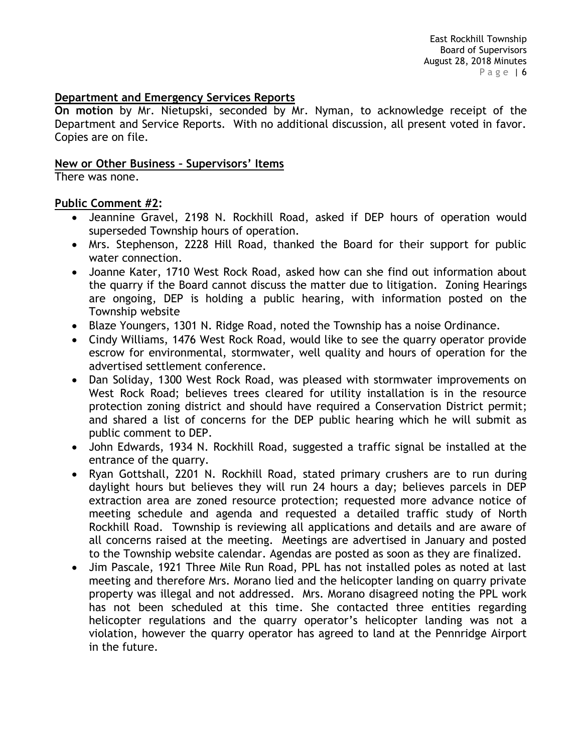## **Department and Emergency Services Reports**

**On motion** by Mr. Nietupski, seconded by Mr. Nyman, to acknowledge receipt of the Department and Service Reports. With no additional discussion, all present voted in favor. Copies are on file.

#### **New or Other Business – Supervisors' Items**

There was none.

## **Public Comment #2:**

- Jeannine Gravel, 2198 N. Rockhill Road, asked if DEP hours of operation would superseded Township hours of operation.
- Mrs. Stephenson, 2228 Hill Road, thanked the Board for their support for public water connection.
- Joanne Kater, 1710 West Rock Road, asked how can she find out information about the quarry if the Board cannot discuss the matter due to litigation. Zoning Hearings are ongoing, DEP is holding a public hearing, with information posted on the Township website
- Blaze Youngers, 1301 N. Ridge Road, noted the Township has a noise Ordinance.
- Cindy Williams, 1476 West Rock Road, would like to see the quarry operator provide escrow for environmental, stormwater, well quality and hours of operation for the advertised settlement conference.
- Dan Soliday, 1300 West Rock Road, was pleased with stormwater improvements on West Rock Road; believes trees cleared for utility installation is in the resource protection zoning district and should have required a Conservation District permit; and shared a list of concerns for the DEP public hearing which he will submit as public comment to DEP.
- John Edwards, 1934 N. Rockhill Road, suggested a traffic signal be installed at the entrance of the quarry.
- Ryan Gottshall, 2201 N. Rockhill Road, stated primary crushers are to run during daylight hours but believes they will run 24 hours a day; believes parcels in DEP extraction area are zoned resource protection; requested more advance notice of meeting schedule and agenda and requested a detailed traffic study of North Rockhill Road. Township is reviewing all applications and details and are aware of all concerns raised at the meeting. Meetings are advertised in January and posted to the Township website calendar. Agendas are posted as soon as they are finalized.
- Jim Pascale, 1921 Three Mile Run Road, PPL has not installed poles as noted at last meeting and therefore Mrs. Morano lied and the helicopter landing on quarry private property was illegal and not addressed. Mrs. Morano disagreed noting the PPL work has not been scheduled at this time. She contacted three entities regarding helicopter regulations and the quarry operator's helicopter landing was not a violation, however the quarry operator has agreed to land at the Pennridge Airport in the future.